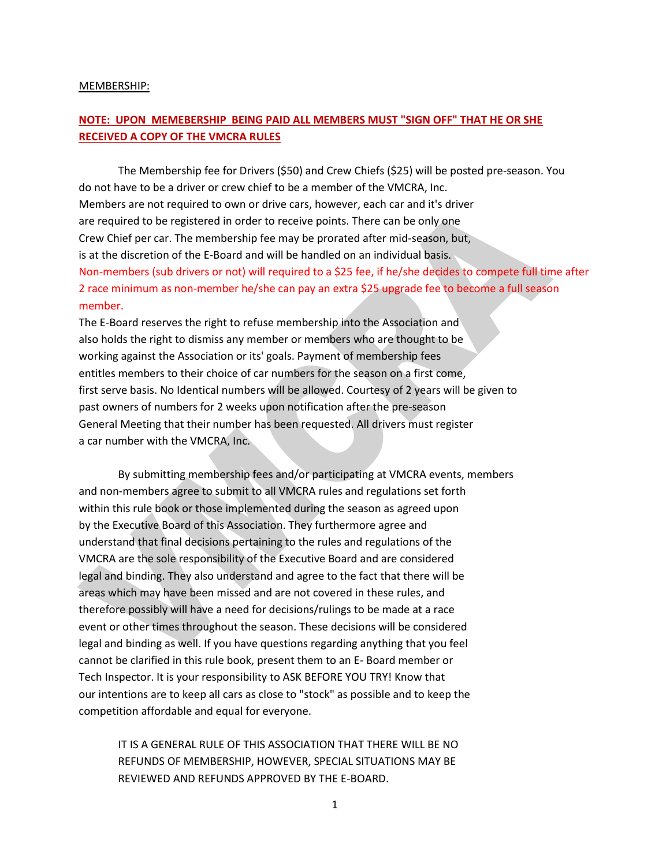#### MEMBERSHIP:

# **NOTE: UPON MEMEBERSHIP BEING PAID ALL MEMBERS MUST "SIGN OFF" THAT HE OR SHE RECEIVED A COPY OF THE VMCRA RULES**

The Membership fee for Drivers (\$50) and Crew Chiefs (\$25) will be posted pre-season. You do not have to be a driver or crew chief to be a member of the VMCRA, Inc. Members are not required to own or drive cars, however, each car and it's driver are required to be registered in order to receive points. There can be only one Crew Chief per car. The membership fee may be prorated after mid-season, but, is at the discretion of the E-Board and will be handled on an individual basis. Non-members (sub drivers or not) will required to a \$25 fee, if he/she decides to compete full time after 2 race minimum as non-member he/she can pay an extra \$25 upgrade fee to become a full season member.

The E-Board reserves the right to refuse membership into the Association and also holds the right to dismiss any member or members who are thought to be working against the Association or its' goals. Payment of membership fees entitles members to their choice of car numbers for the season on a first come, first serve basis. No Identical numbers will be allowed. Courtesy of 2 years will be given to past owners of numbers for 2 weeks upon notification after the pre-season General Meeting that their number has been requested. All drivers must register a car number with the VMCRA, Inc.

By submitting membership fees and/or participating at VMCRA events, members and non-members agree to submit to all VMCRA rules and regulations set forth within this rule book or those implemented during the season as agreed upon by the Executive Board of this Association. They furthermore agree and understand that final decisions pertaining to the rules and regulations of the VMCRA are the sole responsibility of the Executive Board and are considered legal and binding. They also understand and agree to the fact that there will be areas which may have been missed and are not covered in these rules, and therefore possibly will have a need for decisions/rulings to be made at a race event or other times throughout the season. These decisions will be considered legal and binding as well. If you have questions regarding anything that you feel cannot be clarified in this rule book, present them to an E- Board member or Tech Inspector. It is your responsibility to ASK BEFORE YOU TRY! Know that our intentions are to keep all cars as close to "stock" as possible and to keep the competition affordable and equal for everyone.

IT IS A GENERAL RULE OF THIS ASSOCIATION THAT THERE WILL BE NO REFUNDS OF MEMBERSHIP, HOWEVER, SPECIAL SITUATIONS MAY BE REVIEWED AND REFUNDS APPROVED BY THE E-BOARD.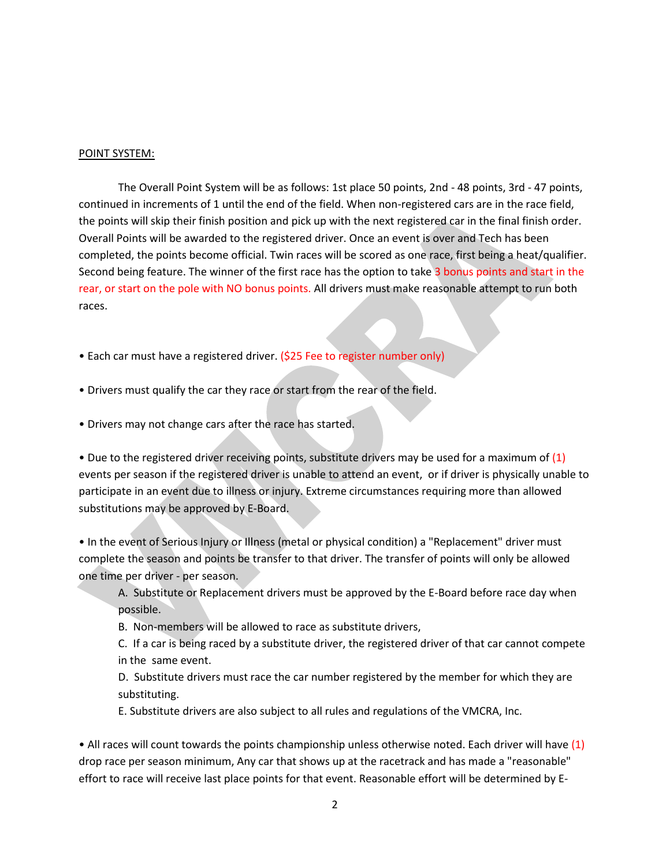#### POINT SYSTEM:

The Overall Point System will be as follows: 1st place 50 points, 2nd - 48 points, 3rd - 47 points, continued in increments of 1 until the end of the field. When non-registered cars are in the race field, the points will skip their finish position and pick up with the next registered car in the final finish order. Overall Points will be awarded to the registered driver. Once an event is over and Tech has been completed, the points become official. Twin races will be scored as one race, first being a heat/qualifier. Second being feature. The winner of the first race has the option to take 3 bonus points and start in the rear, or start on the pole with NO bonus points. All drivers must make reasonable attempt to run both races.

- Each car must have a registered driver. (\$25 Fee to register number only)
- Drivers must qualify the car they race or start from the rear of the field.
- Drivers may not change cars after the race has started.

• Due to the registered driver receiving points, substitute drivers may be used for a maximum of  $(1)$ events per season if the registered driver is unable to attend an event, or if driver is physically unable to participate in an event due to illness or injury. Extreme circumstances requiring more than allowed substitutions may be approved by E-Board.

• In the event of Serious Injury or Illness (metal or physical condition) a "Replacement" driver must complete the season and points be transfer to that driver. The transfer of points will only be allowed one time per driver - per season.

A. Substitute or Replacement drivers must be approved by the E-Board before race day when possible.

B. Non-members will be allowed to race as substitute drivers,

C. If a car is being raced by a substitute driver, the registered driver of that car cannot compete in the same event.

D. Substitute drivers must race the car number registered by the member for which they are substituting.

E. Substitute drivers are also subject to all rules and regulations of the VMCRA, Inc.

• All races will count towards the points championship unless otherwise noted. Each driver will have (1) drop race per season minimum, Any car that shows up at the racetrack and has made a "reasonable" effort to race will receive last place points for that event. Reasonable effort will be determined by E-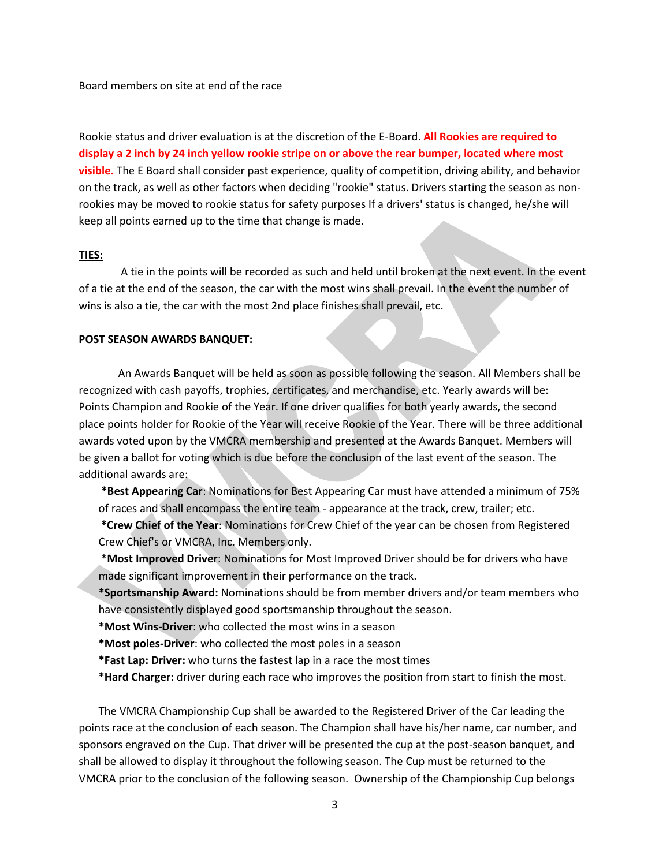Board members on site at end of the race

Rookie status and driver evaluation is at the discretion of the E-Board. **All Rookies are required to display a 2 inch by 24 inch yellow rookie stripe on or above the rear bumper, located where most visible.** The E Board shall consider past experience, quality of competition, driving ability, and behavior on the track, as well as other factors when deciding "rookie" status. Drivers starting the season as nonrookies may be moved to rookie status for safety purposes If a drivers' status is changed, he/she will keep all points earned up to the time that change is made.

#### **TIES:**

A tie in the points will be recorded as such and held until broken at the next event. In the event of a tie at the end of the season, the car with the most wins shall prevail. In the event the number of wins is also a tie, the car with the most 2nd place finishes shall prevail, etc.

#### **POST SEASON AWARDS BANQUET:**

An Awards Banquet will be held as soon as possible following the season. All Members shall be recognized with cash payoffs, trophies, certificates, and merchandise, etc. Yearly awards will be: Points Champion and Rookie of the Year. If one driver qualifies for both yearly awards, the second place points holder for Rookie of the Year will receive Rookie of the Year. There will be three additional awards voted upon by the VMCRA membership and presented at the Awards Banquet. Members will be given a ballot for voting which is due before the conclusion of the last event of the season. The additional awards are:

**\*Best Appearing Car**: Nominations for Best Appearing Car must have attended a minimum of 75% of races and shall encompass the entire team - appearance at the track, crew, trailer; etc.

**\*Crew Chief of the Year**: Nominations for Crew Chief of the year can be chosen from Registered Crew Chief's or VMCRA, Inc. Members only.

\***Most Improved Driver**: Nominations for Most Improved Driver should be for drivers who have made significant improvement in their performance on the track.

**\*Sportsmanship Award:** Nominations should be from member drivers and/or team members who have consistently displayed good sportsmanship throughout the season.

**\*Most Wins-Driver**: who collected the most wins in a season

**\*Most poles-Driver**: who collected the most poles in a season

**\*Fast Lap: Driver:** who turns the fastest lap in a race the most times

**\*Hard Charger:** driver during each race who improves the position from start to finish the most.

The VMCRA Championship Cup shall be awarded to the Registered Driver of the Car leading the points race at the conclusion of each season. The Champion shall have his/her name, car number, and sponsors engraved on the Cup. That driver will be presented the cup at the post-season banquet, and shall be allowed to display it throughout the following season. The Cup must be returned to the VMCRA prior to the conclusion of the following season. Ownership of the Championship Cup belongs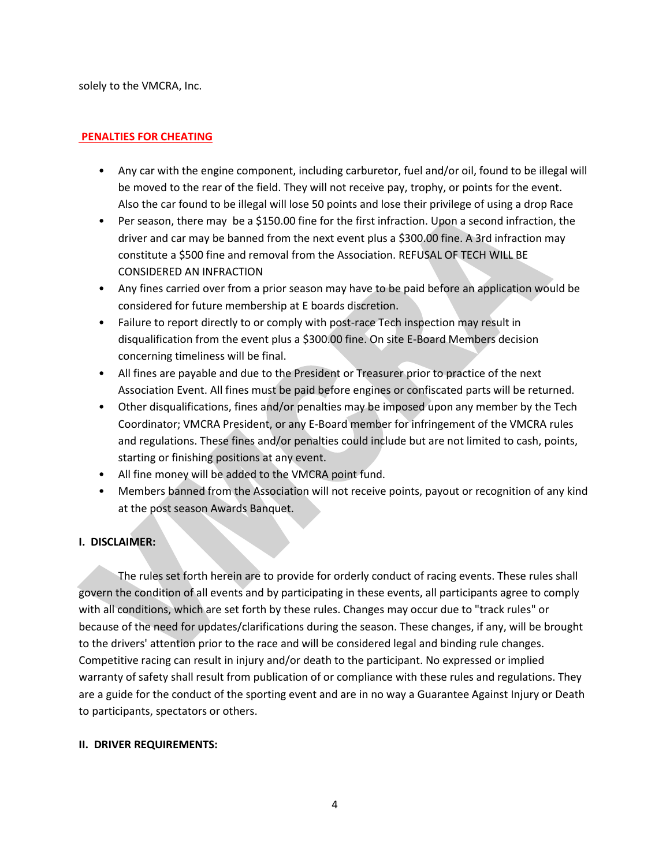solely to the VMCRA, Inc.

### **PENALTIES FOR CHEATING**

- Any car with the engine component, including carburetor, fuel and/or oil, found to be illegal will be moved to the rear of the field. They will not receive pay, trophy, or points for the event. Also the car found to be illegal will lose 50 points and lose their privilege of using a drop Race
- Per season, there may be a \$150.00 fine for the first infraction. Upon a second infraction, the driver and car may be banned from the next event plus a \$300.00 fine. A 3rd infraction may constitute a \$500 fine and removal from the Association. REFUSAL OF TECH WILL BE CONSIDERED AN INFRACTION
- Any fines carried over from a prior season may have to be paid before an application would be considered for future membership at E boards discretion.
- Failure to report directly to or comply with post-race Tech inspection may result in disqualification from the event plus a \$300.00 fine. On site E-Board Members decision concerning timeliness will be final.
- All fines are payable and due to the President or Treasurer prior to practice of the next Association Event. All fines must be paid before engines or confiscated parts will be returned.
- Other disqualifications, fines and/or penalties may be imposed upon any member by the Tech Coordinator; VMCRA President, or any E-Board member for infringement of the VMCRA rules and regulations. These fines and/or penalties could include but are not limited to cash, points, starting or finishing positions at any event.
- All fine money will be added to the VMCRA point fund.
- Members banned from the Association will not receive points, payout or recognition of any kind at the post season Awards Banquet.

# **I. DISCLAIMER:**

The rules set forth herein are to provide for orderly conduct of racing events. These rules shall govern the condition of all events and by participating in these events, all participants agree to comply with all conditions, which are set forth by these rules. Changes may occur due to "track rules" or because of the need for updates/clarifications during the season. These changes, if any, will be brought to the drivers' attention prior to the race and will be considered legal and binding rule changes. Competitive racing can result in injury and/or death to the participant. No expressed or implied warranty of safety shall result from publication of or compliance with these rules and regulations. They are a guide for the conduct of the sporting event and are in no way a Guarantee Against Injury or Death to participants, spectators or others.

### **II. DRIVER REQUIREMENTS:**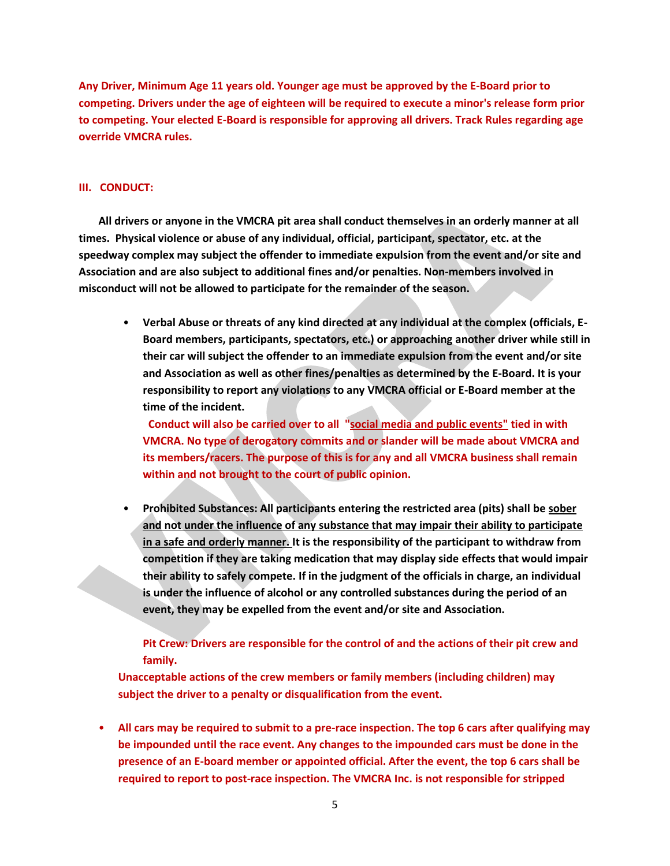**Any Driver, Minimum Age 11 years old. Younger age must be approved by the E-Board prior to competing. Drivers under the age of eighteen will be required to execute a minor's release form prior to competing. Your elected E-Board is responsible for approving all drivers. Track Rules regarding age override VMCRA rules.**

#### **III. CONDUCT:**

**All drivers or anyone in the VMCRA pit area shall conduct themselves in an orderly manner at all times. Physical violence or abuse of any individual, official, participant, spectator, etc. at the speedway complex may subject the offender to immediate expulsion from the event and/or site and Association and are also subject to additional fines and/or penalties. Non-members involved in misconduct will not be allowed to participate for the remainder of the season.**

• **Verbal Abuse or threats of any kind directed at any individual at the complex (officials, E-Board members, participants, spectators, etc.) or approaching another driver while still in their car will subject the offender to an immediate expulsion from the event and/or site and Association as well as other fines/penalties as determined by the E-Board. It is your responsibility to report any violations to any VMCRA official or E-Board member at the time of the incident.**

 **Conduct will also be carried over to all "social media and public events" tied in with VMCRA. No type of derogatory commits and or slander will be made about VMCRA and its members/racers. The purpose of this is for any and all VMCRA business shall remain within and not brought to the court of public opinion.**

• **Prohibited Substances: All participants entering the restricted area (pits) shall be sober and not under the influence of any substance that may impair their ability to participate in a safe and orderly manner. It is the responsibility of the participant to withdraw from competition if they are taking medication that may display side effects that would impair their ability to safely compete. If in the judgment of the officials in charge, an individual is under the influence of alcohol or any controlled substances during the period of an event, they may be expelled from the event and/or site and Association.**

# **Pit Crew: Drivers are responsible for the control of and the actions of their pit crew and family.**

**Unacceptable actions of the crew members or family members (including children) may subject the driver to a penalty or disqualification from the event.** 

• **All cars may be required to submit to a pre-race inspection. The top 6 cars after qualifying may be impounded until the race event. Any changes to the impounded cars must be done in the presence of an E-board member or appointed official. After the event, the top 6 cars shall be required to report to post-race inspection. The VMCRA Inc. is not responsible for stripped**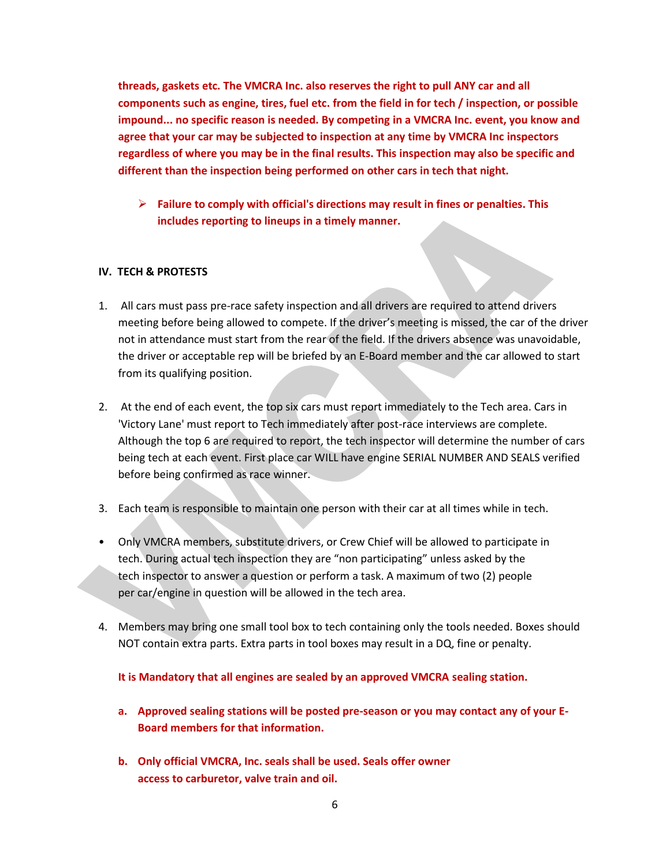**threads, gaskets etc. The VMCRA Inc. also reserves the right to pull ANY car and all components such as engine, tires, fuel etc. from the field in for tech / inspection, or possible impound... no specific reason is needed. By competing in a VMCRA Inc. event, you know and agree that your car may be subjected to inspection at any time by VMCRA Inc inspectors regardless of where you may be in the final results. This inspection may also be specific and different than the inspection being performed on other cars in tech that night.**

 **Failure to comply with official's directions may result in fines or penalties. This includes reporting to lineups in a timely manner.**

### **IV. TECH & PROTESTS**

- 1. All cars must pass pre-race safety inspection and all drivers are required to attend drivers meeting before being allowed to compete. If the driver's meeting is missed, the car of the driver not in attendance must start from the rear of the field. If the drivers absence was unavoidable, the driver or acceptable rep will be briefed by an E-Board member and the car allowed to start from its qualifying position.
- 2. At the end of each event, the top six cars must report immediately to the Tech area. Cars in 'Victory Lane' must report to Tech immediately after post-race interviews are complete. Although the top 6 are required to report, the tech inspector will determine the number of cars being tech at each event. First place car WILL have engine SERIAL NUMBER AND SEALS verified before being confirmed as race winner.
- 3. Each team is responsible to maintain one person with their car at all times while in tech.
- Only VMCRA members, substitute drivers, or Crew Chief will be allowed to participate in tech. During actual tech inspection they are "non participating" unless asked by the tech inspector to answer a question or perform a task. A maximum of two (2) people per car/engine in question will be allowed in the tech area.
- 4. Members may bring one small tool box to tech containing only the tools needed. Boxes should NOT contain extra parts. Extra parts in tool boxes may result in a DQ, fine or penalty.

**It is Mandatory that all engines are sealed by an approved VMCRA sealing station.** 

- **a. Approved sealing stations will be posted pre-season or you may contact any of your E-Board members for that information.**
- **b. Only official VMCRA, Inc. seals shall be used. Seals offer owner access to carburetor, valve train and oil.**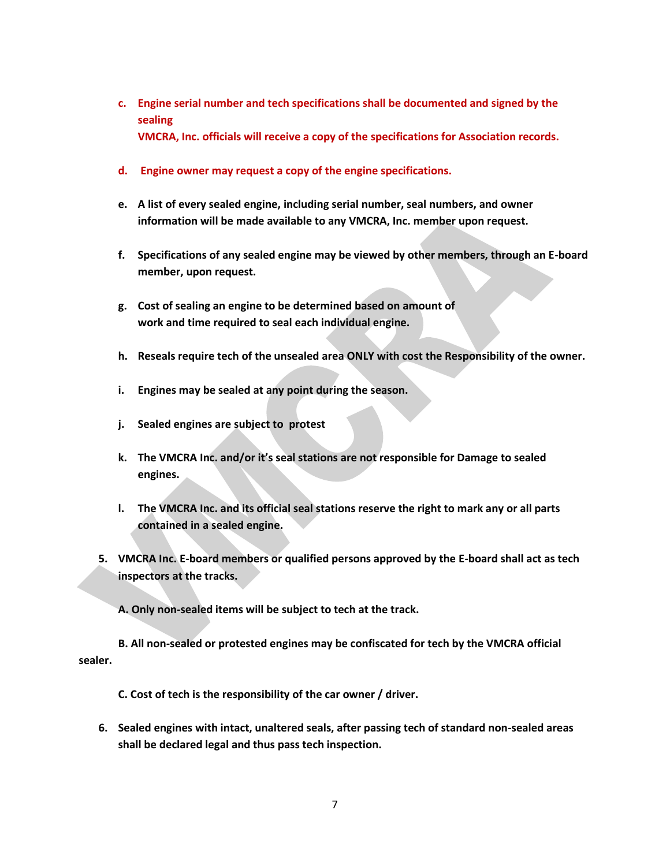- **c. Engine serial number and tech specifications shall be documented and signed by the sealing VMCRA, Inc. officials will receive a copy of the specifications for Association records.**
- **d. Engine owner may request a copy of the engine specifications.**
- **e. A list of every sealed engine, including serial number, seal numbers, and owner information will be made available to any VMCRA, Inc. member upon request.**
- **f. Specifications of any sealed engine may be viewed by other members, through an E-board member, upon request.**
- **g. Cost of sealing an engine to be determined based on amount of work and time required to seal each individual engine.**
- **h. Reseals require tech of the unsealed area ONLY with cost the Responsibility of the owner.**
- **i. Engines may be sealed at any point during the season.**
- **j. Sealed engines are subject to protest**
- **k. The VMCRA Inc. and/or it's seal stations are not responsible for Damage to sealed engines.**
- **l. The VMCRA Inc. and its official seal stations reserve the right to mark any or all parts contained in a sealed engine.**
- **5. VMCRA Inc. E-board members or qualified persons approved by the E-board shall act as tech inspectors at the tracks.**

**A. Only non-sealed items will be subject to tech at the track.**

**B. All non-sealed or protested engines may be confiscated for tech by the VMCRA official sealer.**

**C. Cost of tech is the responsibility of the car owner / driver.**

**6. Sealed engines with intact, unaltered seals, after passing tech of standard non-sealed areas shall be declared legal and thus pass tech inspection.**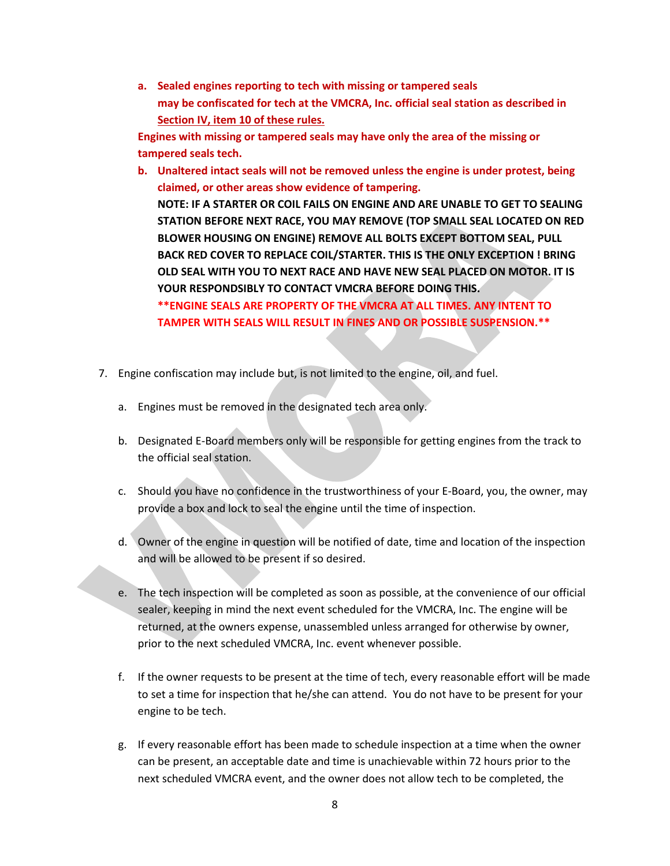**a. Sealed engines reporting to tech with missing or tampered seals may be confiscated for tech at the VMCRA, Inc. official seal station as described in Section IV, item 10 of these rules.**

**Engines with missing or tampered seals may have only the area of the missing or tampered seals tech.**

- **b. Unaltered intact seals will not be removed unless the engine is under protest, being claimed, or other areas show evidence of tampering. NOTE: IF A STARTER OR COIL FAILS ON ENGINE AND ARE UNABLE TO GET TO SEALING STATION BEFORE NEXT RACE, YOU MAY REMOVE (TOP SMALL SEAL LOCATED ON RED BLOWER HOUSING ON ENGINE) REMOVE ALL BOLTS EXCEPT BOTTOM SEAL, PULL BACK RED COVER TO REPLACE COIL/STARTER. THIS IS THE ONLY EXCEPTION ! BRING OLD SEAL WITH YOU TO NEXT RACE AND HAVE NEW SEAL PLACED ON MOTOR. IT IS YOUR RESPONDSIBLY TO CONTACT VMCRA BEFORE DOING THIS. \*\*ENGINE SEALS ARE PROPERTY OF THE VMCRA AT ALL TIMES. ANY INTENT TO TAMPER WITH SEALS WILL RESULT IN FINES AND OR POSSIBLE SUSPENSION.\*\***
- 7. Engine confiscation may include but, is not limited to the engine, oil, and fuel.
	- a. Engines must be removed in the designated tech area only.
	- b. Designated E-Board members only will be responsible for getting engines from the track to the official seal station.
	- c. Should you have no confidence in the trustworthiness of your E-Board, you, the owner, may provide a box and lock to seal the engine until the time of inspection.
	- d. Owner of the engine in question will be notified of date, time and location of the inspection and will be allowed to be present if so desired.
	- e. The tech inspection will be completed as soon as possible, at the convenience of our official sealer, keeping in mind the next event scheduled for the VMCRA, Inc. The engine will be returned, at the owners expense, unassembled unless arranged for otherwise by owner, prior to the next scheduled VMCRA, Inc. event whenever possible.
	- f. If the owner requests to be present at the time of tech, every reasonable effort will be made to set a time for inspection that he/she can attend. You do not have to be present for your engine to be tech.
	- g. If every reasonable effort has been made to schedule inspection at a time when the owner can be present, an acceptable date and time is unachievable within 72 hours prior to the next scheduled VMCRA event, and the owner does not allow tech to be completed, the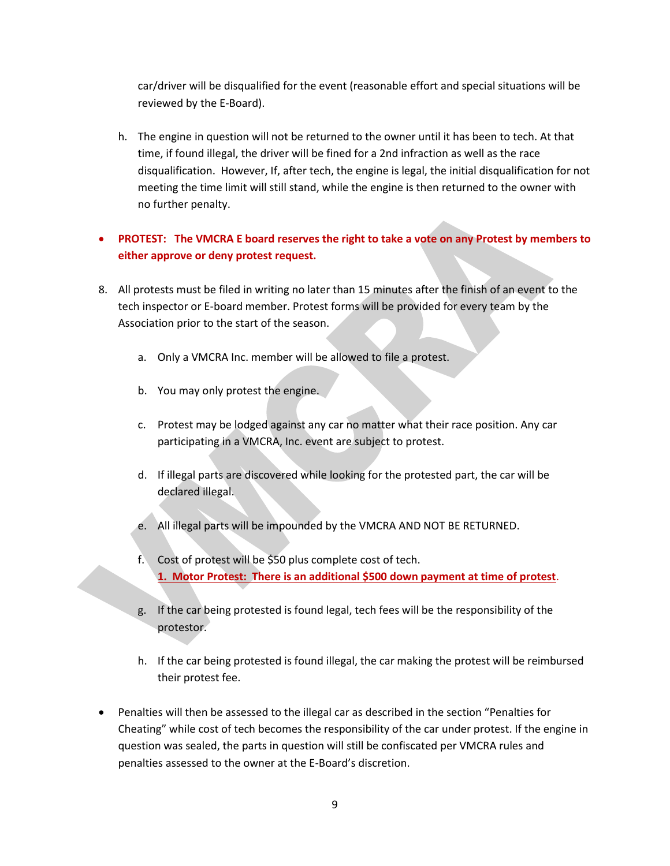car/driver will be disqualified for the event (reasonable effort and special situations will be reviewed by the E-Board).

h. The engine in question will not be returned to the owner until it has been to tech. At that time, if found illegal, the driver will be fined for a 2nd infraction as well as the race disqualification. However, If, after tech, the engine is legal, the initial disqualification for not meeting the time limit will still stand, while the engine is then returned to the owner with no further penalty.

# **PROTEST: The VMCRA E board reserves the right to take a vote on any Protest by members to either approve or deny protest request.**

- 8. All protests must be filed in writing no later than 15 minutes after the finish of an event to the tech inspector or E-board member. Protest forms will be provided for every team by the Association prior to the start of the season.
	- a. Only a VMCRA Inc. member will be allowed to file a protest.
	- b. You may only protest the engine.
	- c. Protest may be lodged against any car no matter what their race position. Any car participating in a VMCRA, Inc. event are subject to protest.
	- d. If illegal parts are discovered while looking for the protested part, the car will be declared illegal.
	- e. All illegal parts will be impounded by the VMCRA AND NOT BE RETURNED.
	- f. Cost of protest will be \$50 plus complete cost of tech. **1. Motor Protest: There is an additional \$500 down payment at time of protest**.
	- g. If the car being protested is found legal, tech fees will be the responsibility of the protestor.
	- h. If the car being protested is found illegal, the car making the protest will be reimbursed their protest fee.
- Penalties will then be assessed to the illegal car as described in the section "Penalties for Cheating" while cost of tech becomes the responsibility of the car under protest. If the engine in question was sealed, the parts in question will still be confiscated per VMCRA rules and penalties assessed to the owner at the E-Board's discretion.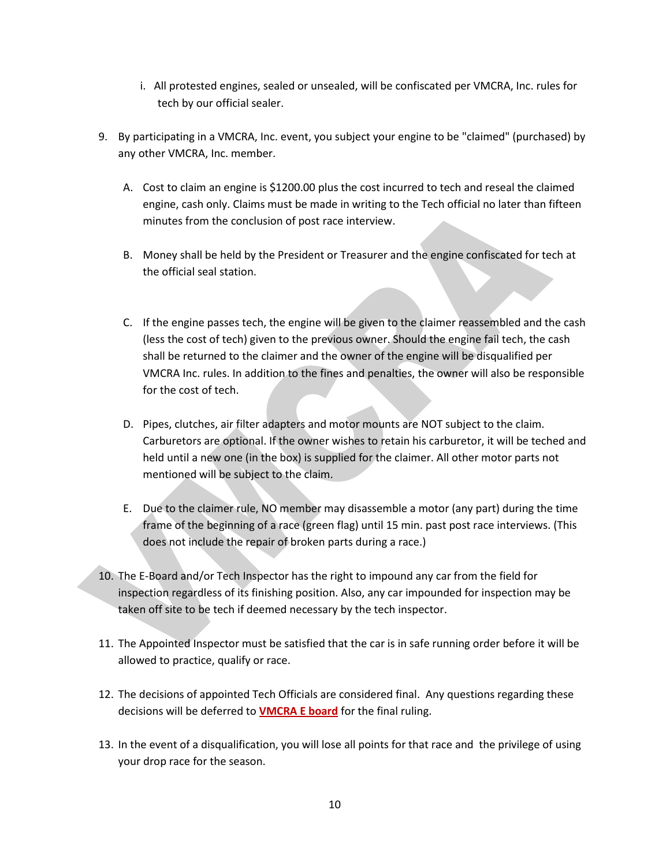- i. All protested engines, sealed or unsealed, will be confiscated per VMCRA, Inc. rules for tech by our official sealer.
- 9. By participating in a VMCRA, Inc. event, you subject your engine to be "claimed" (purchased) by any other VMCRA, Inc. member.
	- A. Cost to claim an engine is \$1200.00 plus the cost incurred to tech and reseal the claimed engine, cash only. Claims must be made in writing to the Tech official no later than fifteen minutes from the conclusion of post race interview.
	- B. Money shall be held by the President or Treasurer and the engine confiscated for tech at the official seal station.
	- C. If the engine passes tech, the engine will be given to the claimer reassembled and the cash (less the cost of tech) given to the previous owner. Should the engine fail tech, the cash shall be returned to the claimer and the owner of the engine will be disqualified per VMCRA Inc. rules. In addition to the fines and penalties, the owner will also be responsible for the cost of tech.
	- D. Pipes, clutches, air filter adapters and motor mounts are NOT subject to the claim. Carburetors are optional. If the owner wishes to retain his carburetor, it will be teched and held until a new one (in the box) is supplied for the claimer. All other motor parts not mentioned will be subject to the claim.
	- E. Due to the claimer rule, NO member may disassemble a motor (any part) during the time frame of the beginning of a race (green flag) until 15 min. past post race interviews. (This does not include the repair of broken parts during a race.)
- 10. The E-Board and/or Tech Inspector has the right to impound any car from the field for inspection regardless of its finishing position. Also, any car impounded for inspection may be taken off site to be tech if deemed necessary by the tech inspector.
- 11. The Appointed Inspector must be satisfied that the car is in safe running order before it will be allowed to practice, qualify or race.
- 12. The decisions of appointed Tech Officials are considered final. Any questions regarding these decisions will be deferred to **VMCRA E board** for the final ruling.
- 13. In the event of a disqualification, you will lose all points for that race and the privilege of using your drop race for the season.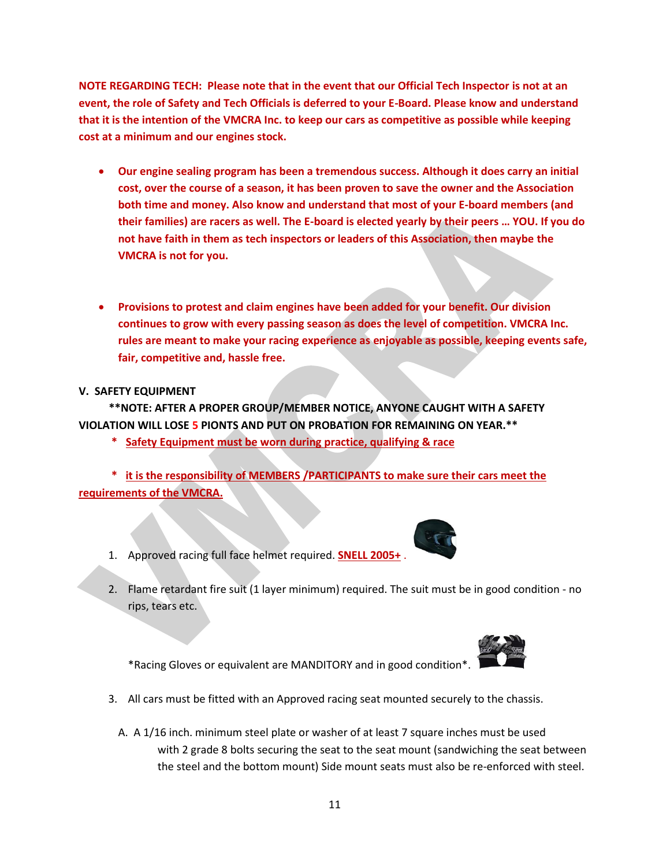**NOTE REGARDING TECH: Please note that in the event that our Official Tech Inspector is not at an event, the role of Safety and Tech Officials is deferred to your E-Board. Please know and understand that it is the intention of the VMCRA Inc. to keep our cars as competitive as possible while keeping cost at a minimum and our engines stock.**

- **Our engine sealing program has been a tremendous success. Although it does carry an initial cost, over the course of a season, it has been proven to save the owner and the Association both time and money. Also know and understand that most of your E-board members (and their families) are racers as well. The E-board is elected yearly by their peers … YOU. If you do not have faith in them as tech inspectors or leaders of this Association, then maybe the VMCRA is not for you.**
- **Provisions to protest and claim engines have been added for your benefit. Our division continues to grow with every passing season as does the level of competition. VMCRA Inc. rules are meant to make your racing experience as enjoyable as possible, keeping events safe, fair, competitive and, hassle free.**

# **V. SAFETY EQUIPMENT**

 **\*\*NOTE: AFTER A PROPER GROUP/MEMBER NOTICE, ANYONE CAUGHT WITH A SAFETY VIOLATION WILL LOSE 5 PIONTS AND PUT ON PROBATION FOR REMAINING ON YEAR.\*\*** 

 **\* Safety Equipment must be worn during practice, qualifying & race**

 **\* it is the responsibility of MEMBERS /PARTICIPANTS to make sure their cars meet the requirements of the VMCRA.** 

- 1. Approved racing full face helmet required. **SNELL 2005+** .
- 2. Flame retardant fire suit (1 layer minimum) required. The suit must be in good condition no rips, tears etc.

\*Racing Gloves or equivalent are MANDITORY and in good condition\*.

- 3. All cars must be fitted with an Approved racing seat mounted securely to the chassis.
	- A. A 1/16 inch. minimum steel plate or washer of at least 7 square inches must be used with 2 grade 8 bolts securing the seat to the seat mount (sandwiching the seat between the steel and the bottom mount) Side mount seats must also be re-enforced with steel.



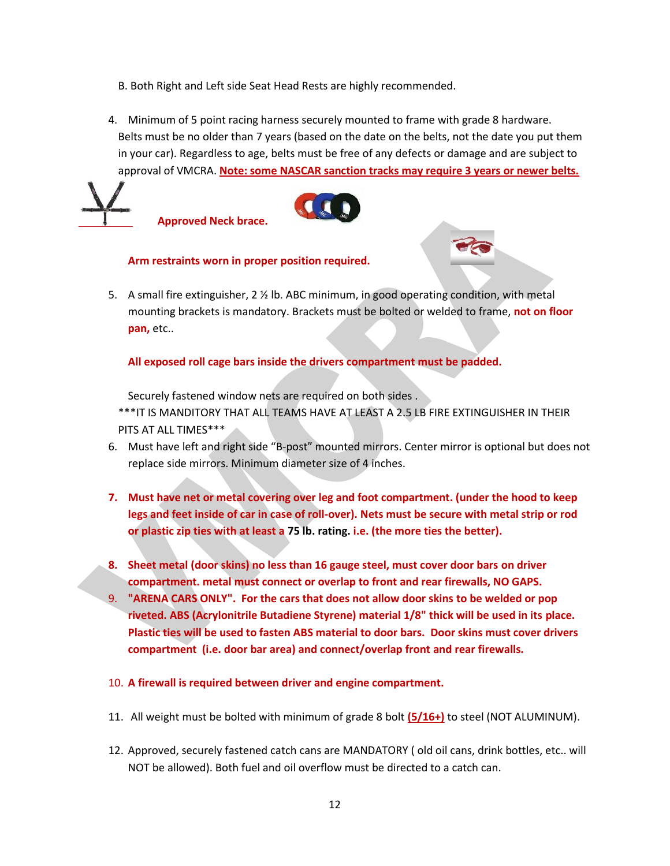- B. Both Right and Left side Seat Head Rests are highly recommended.
- 4. Minimum of 5 point racing harness securely mounted to frame with grade 8 hardware. Belts must be no older than 7 years (based on the date on the belts, not the date you put them in your car). Regardless to age, belts must be free of any defects or damage and are subject to approval of VMCRA. **Note: some NASCAR sanction tracks may require 3 years or newer belts.**





#### **Arm restraints worn in proper position required.**

5. A small fire extinguisher, 2 ½ lb. ABC minimum, in good operating condition, with metal mounting brackets is mandatory. Brackets must be bolted or welded to frame, **not on floor pan,** etc..

**All exposed roll cage bars inside the drivers compartment must be padded.**

Securely fastened window nets are required on both sides .

\*\*\*IT IS MANDITORY THAT ALL TEAMS HAVE AT LEAST A 2.5 LB FIRE EXTINGUISHER IN THEIR PITS AT ALL TIMES\*\*\*

- 6. Must have left and right side "B-post" mounted mirrors. Center mirror is optional but does not replace side mirrors. Minimum diameter size of 4 inches.
- **7. Must have net or metal covering over leg and foot compartment. (under the hood to keep legs and feet inside of car in case of roll-over). Nets must be secure with metal strip or rod or plastic zip ties with at least a 75 lb. rating. i.e. (the more ties the better).**
- **8. Sheet metal (door skins) no less than 16 gauge steel, must cover door bars on driver compartment. metal must connect or overlap to front and rear firewalls, NO GAPS.**
- 9. **"ARENA CARS ONLY". For the cars that does not allow door skins to be welded or pop riveted. ABS (Acrylonitrile Butadiene Styrene) material 1/8" thick will be used in its place. Plastic ties will be used to fasten ABS material to door bars. Door skins must cover drivers compartment (i.e. door bar area) and connect/overlap front and rear firewalls.**
- 10. **A firewall is required between driver and engine compartment.**
- 11. All weight must be bolted with minimum of grade 8 bolt **(5/16+)** to steel (NOT ALUMINUM).
- 12. Approved, securely fastened catch cans are MANDATORY ( old oil cans, drink bottles, etc.. will NOT be allowed). Both fuel and oil overflow must be directed to a catch can.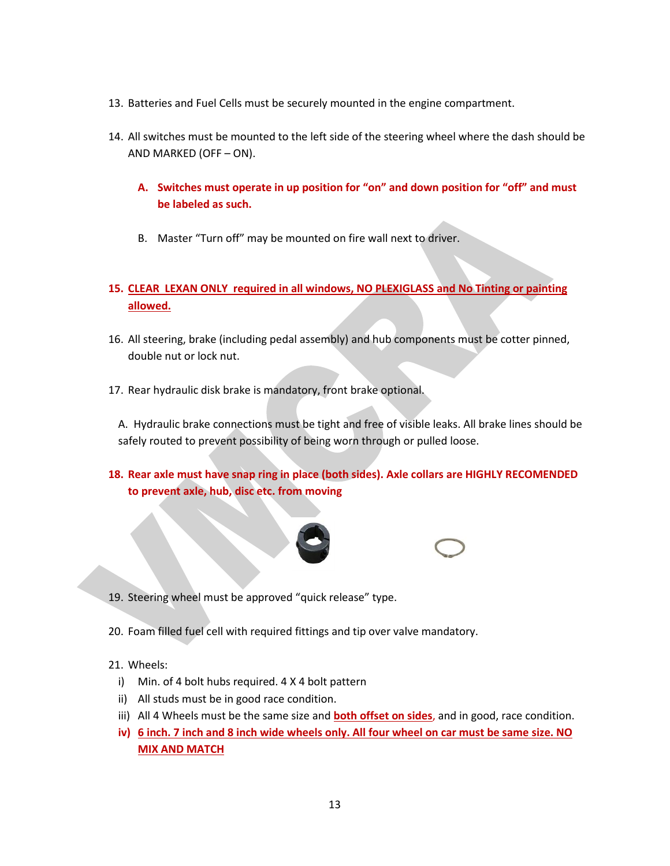- 13. Batteries and Fuel Cells must be securely mounted in the engine compartment.
- 14. All switches must be mounted to the left side of the steering wheel where the dash should be AND MARKED (OFF – ON).
	- **A. Switches must operate in up position for "on" and down position for "off" and must be labeled as such.**
	- B. Master "Turn off" may be mounted on fire wall next to driver.
- **15. CLEAR LEXAN ONLY required in all windows, NO PLEXIGLASS and No Tinting or painting allowed.**
- 16. All steering, brake (including pedal assembly) and hub components must be cotter pinned, double nut or lock nut.
- 17. Rear hydraulic disk brake is mandatory, front brake optional.

A. Hydraulic brake connections must be tight and free of visible leaks. All brake lines should be safely routed to prevent possibility of being worn through or pulled loose.

**18. Rear axle must have snap ring in place (both sides). Axle collars are HIGHLY RECOMENDED to prevent axle, hub, disc etc. from moving** 





- 19. Steering wheel must be approved "quick release" type.
- 20. Foam filled fuel cell with required fittings and tip over valve mandatory.
- 21. Wheels:

- i) Min. of 4 bolt hubs required. 4 X 4 bolt pattern
- ii) All studs must be in good race condition.
- iii) All 4 Wheels must be the same size and **both offset on sides**, and in good, race condition.
- **iv) 6 inch. 7 inch and 8 inch wide wheels only. All four wheel on car must be same size. NO MIX AND MATCH**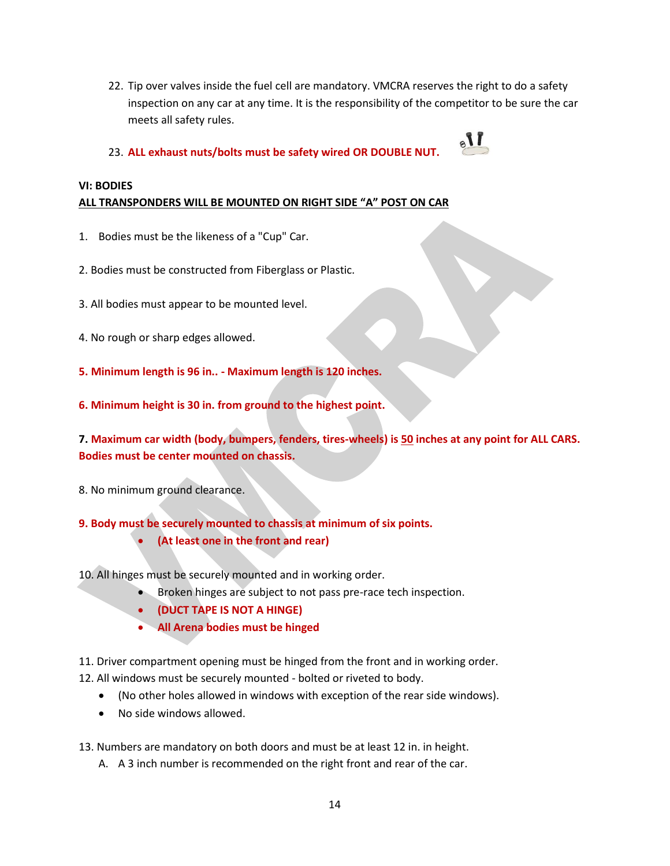- 22. Tip over valves inside the fuel cell are mandatory. VMCRA reserves the right to do a safety inspection on any car at any time. It is the responsibility of the competitor to be sure the car meets all safety rules.
- 23. **ALL exhaust nuts/bolts must be safety wired OR DOUBLE NUT.**



# **VI: BODIES ALL TRANSPONDERS WILL BE MOUNTED ON RIGHT SIDE "A" POST ON CAR**

- 1. Bodies must be the likeness of a "Cup" Car.
- 2. Bodies must be constructed from Fiberglass or Plastic.
- 3. All bodies must appear to be mounted level.
- 4. No rough or sharp edges allowed.
- **5. Minimum length is 96 in.. - Maximum length is 120 inches.**
- **6. Minimum height is 30 in. from ground to the highest point.**

**7. Maximum car width (body, bumpers, fenders, tires-wheels) is 50 inches at any point for ALL CARS. Bodies must be center mounted on chassis.**

8. No minimum ground clearance.

**9. Body must be securely mounted to chassis at minimum of six points.**

- **(At least one in the front and rear)**
- 10. All hinges must be securely mounted and in working order.
	- Broken hinges are subject to not pass pre-race tech inspection.
		- **(DUCT TAPE IS NOT A HINGE)**
		- **All Arena bodies must be hinged**
- 11. Driver compartment opening must be hinged from the front and in working order.
- 12. All windows must be securely mounted bolted or riveted to body.
	- (No other holes allowed in windows with exception of the rear side windows).
	- No side windows allowed.
- 13. Numbers are mandatory on both doors and must be at least 12 in. in height.
	- A. A 3 inch number is recommended on the right front and rear of the car.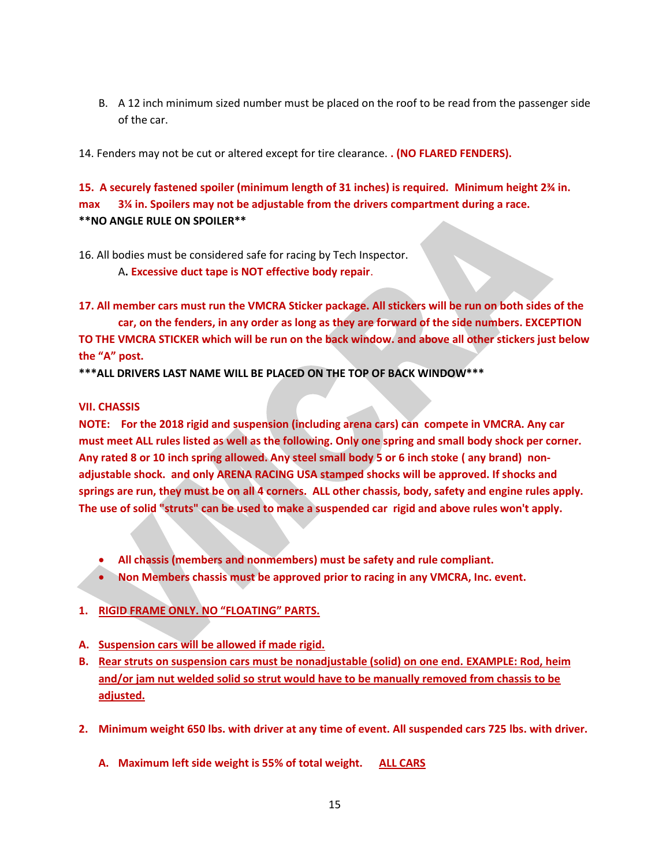B. A 12 inch minimum sized number must be placed on the roof to be read from the passenger side of the car.

14. Fenders may not be cut or altered except for tire clearance. **. (NO FLARED FENDERS).**

**15. A securely fastened spoiler (minimum length of 31 inches) is required. Minimum height 2¾ in. max 3¼ in. Spoilers may not be adjustable from the drivers compartment during a race. \*\*NO ANGLE RULE ON SPOILER\*\***

16. All bodies must be considered safe for racing by Tech Inspector. A**. Excessive duct tape is NOT effective body repair**.

**17. All member cars must run the VMCRA Sticker package. All stickers will be run on both sides of the car, on the fenders, in any order as long as they are forward of the side numbers. EXCEPTION TO THE VMCRA STICKER which will be run on the back window. and above all other stickers just below the "A" post.**

**\*\*\*ALL DRIVERS LAST NAME WILL BE PLACED ON THE TOP OF BACK WINDOW\*\*\***

### **VII. CHASSIS**

**NOTE: For the 2018 rigid and suspension (including arena cars) can compete in VMCRA. Any car must meet ALL rules listed as well as the following. Only one spring and small body shock per corner. Any rated 8 or 10 inch spring allowed. Any steel small body 5 or 6 inch stoke ( any brand) nonadjustable shock. and only ARENA RACING USA stamped shocks will be approved. If shocks and springs are run, they must be on all 4 corners. ALL other chassis, body, safety and engine rules apply. The use of solid "struts" can be used to make a suspended car rigid and above rules won't apply.**

- **All chassis (members and nonmembers) must be safety and rule compliant.**
- **Non Members chassis must be approved prior to racing in any VMCRA, Inc. event.**

# **1. RIGID FRAME ONLY. NO "FLOATING" PARTS.**

- **A. Suspension cars will be allowed if made rigid.**
- **B. Rear struts on suspension cars must be nonadjustable (solid) on one end. EXAMPLE: Rod, heim and/or jam nut welded solid so strut would have to be manually removed from chassis to be adjusted.**
- **2. Minimum weight 650 lbs. with driver at any time of event. All suspended cars 725 lbs. with driver.**
	- **A. Maximum left side weight is 55% of total weight. ALL CARS**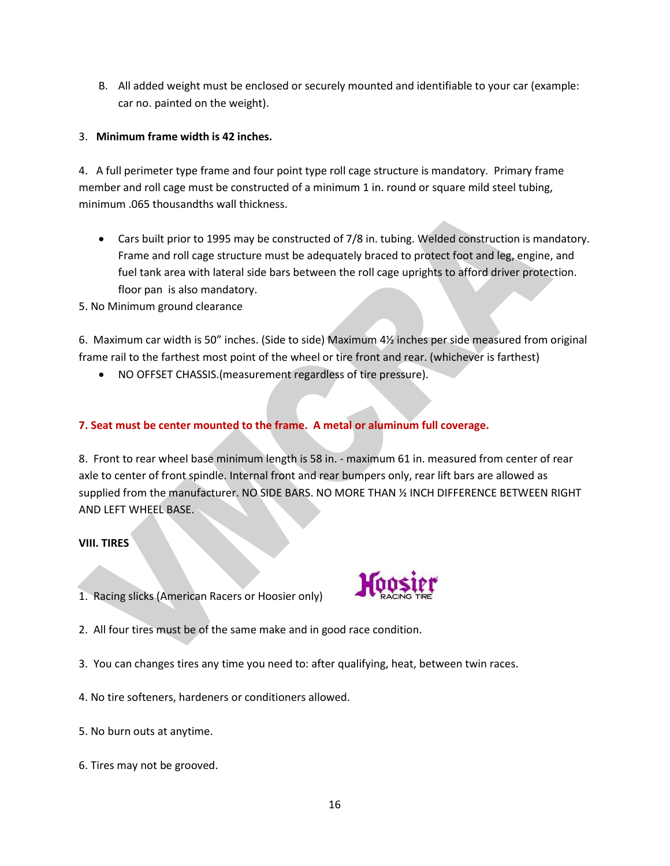B. All added weight must be enclosed or securely mounted and identifiable to your car (example: car no. painted on the weight).

# 3. **Minimum frame width is 42 inches.**

4. A full perimeter type frame and four point type roll cage structure is mandatory. Primary frame member and roll cage must be constructed of a minimum 1 in. round or square mild steel tubing, minimum .065 thousandths wall thickness.

- Cars built prior to 1995 may be constructed of 7/8 in. tubing. Welded construction is mandatory. Frame and roll cage structure must be adequately braced to protect foot and leg, engine, and fuel tank area with lateral side bars between the roll cage uprights to afford driver protection. floor pan is also mandatory.
- 5. No Minimum ground clearance

6. Maximum car width is 50" inches. (Side to side) Maximum 4½ inches per side measured from original frame rail to the farthest most point of the wheel or tire front and rear. (whichever is farthest)

NO OFFSET CHASSIS.(measurement regardless of tire pressure).

# **7. Seat must be center mounted to the frame. A metal or aluminum full coverage.**

8. Front to rear wheel base minimum length is 58 in. - maximum 61 in. measured from center of rear axle to center of front spindle. Internal front and rear bumpers only, rear lift bars are allowed as supplied from the manufacturer. NO SIDE BARS. NO MORE THAN ½ INCH DIFFERENCE BETWEEN RIGHT AND LEFT WHEEL BASE.

#### **VIII. TIRES**

1. Racing slicks (American Racers or Hoosier only)



- 2. All four tires must be of the same make and in good race condition.
- 3. You can changes tires any time you need to: after qualifying, heat, between twin races.
- 4. No tire softeners, hardeners or conditioners allowed.
- 5. No burn outs at anytime.
- 6. Tires may not be grooved.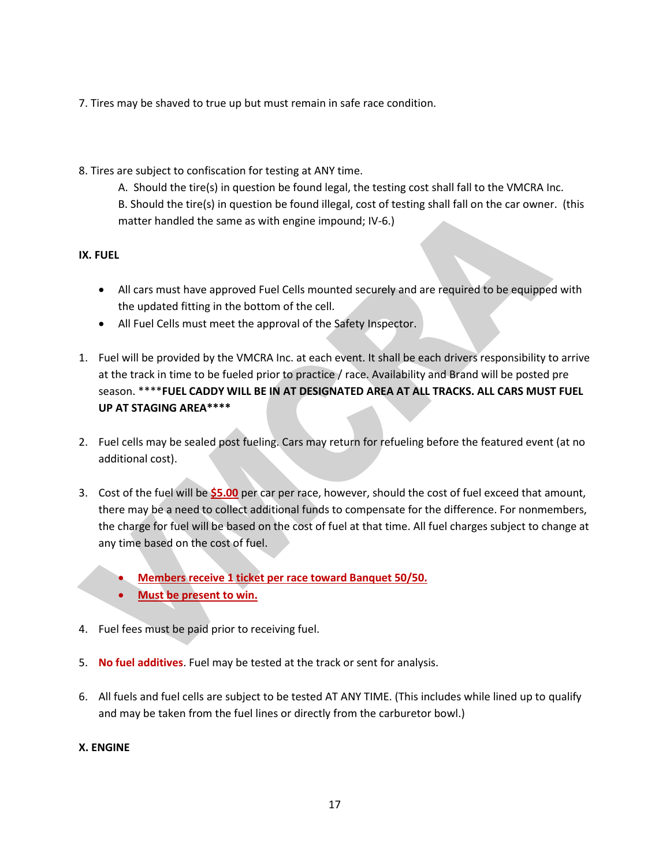- 7. Tires may be shaved to true up but must remain in safe race condition.
- 8. Tires are subject to confiscation for testing at ANY time.
	- A. Should the tire(s) in question be found legal, the testing cost shall fall to the VMCRA Inc. B. Should the tire(s) in question be found illegal, cost of testing shall fall on the car owner. (this
	- matter handled the same as with engine impound; IV-6.)

# **IX. FUEL**

- All cars must have approved Fuel Cells mounted securely and are required to be equipped with the updated fitting in the bottom of the cell.
- All Fuel Cells must meet the approval of the Safety Inspector.
- 1. Fuel will be provided by the VMCRA Inc. at each event. It shall be each drivers responsibility to arrive at the track in time to be fueled prior to practice / race. Availability and Brand will be posted pre season. \*\*\*\***FUEL CADDY WILL BE IN AT DESIGNATED AREA AT ALL TRACKS. ALL CARS MUST FUEL UP AT STAGING AREA\*\*\*\***
- 2. Fuel cells may be sealed post fueling. Cars may return for refueling before the featured event (at no additional cost).
- 3. Cost of the fuel will be **\$5.00** per car per race, however, should the cost of fuel exceed that amount, there may be a need to collect additional funds to compensate for the difference. For nonmembers, the charge for fuel will be based on the cost of fuel at that time. All fuel charges subject to change at any time based on the cost of fuel.
	- **Members receive 1 ticket per race toward Banquet 50/50.**
	- **Must be present to win.**
- 4. Fuel fees must be paid prior to receiving fuel.
- 5. **No fuel additives**. Fuel may be tested at the track or sent for analysis.
- 6. All fuels and fuel cells are subject to be tested AT ANY TIME. (This includes while lined up to qualify and may be taken from the fuel lines or directly from the carburetor bowl.)

# **X. ENGINE**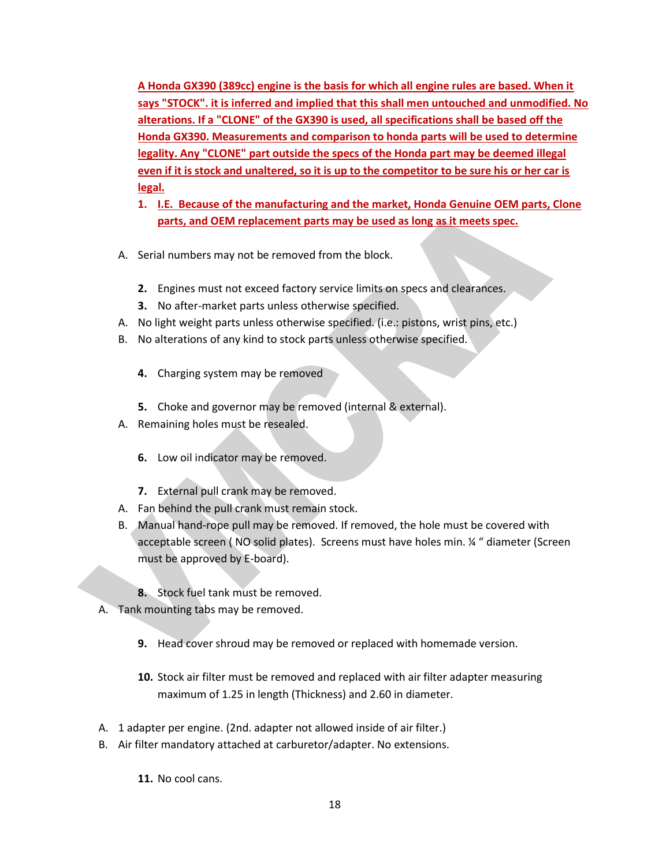**A Honda GX390 (389cc) engine is the basis for which all engine rules are based. When it says "STOCK". it is inferred and implied that this shall men untouched and unmodified. No alterations. If a "CLONE" of the GX390 is used, all specifications shall be based off the Honda GX390. Measurements and comparison to honda parts will be used to determine legality. Any "CLONE" part outside the specs of the Honda part may be deemed illegal even if it is stock and unaltered, so it is up to the competitor to be sure his or her car is legal.**

- **1. I.E. Because of the manufacturing and the market, Honda Genuine OEM parts, Clone parts, and OEM replacement parts may be used as long as it meets spec.**
- A. Serial numbers may not be removed from the block.
	- **2.** Engines must not exceed factory service limits on specs and clearances.
	- **3.** No after-market parts unless otherwise specified.
- A. No light weight parts unless otherwise specified. (i.e.: pistons, wrist pins, etc.)
- B. No alterations of any kind to stock parts unless otherwise specified.
	- **4.** Charging system may be removed
	- **5.** Choke and governor may be removed (internal & external).
- A. Remaining holes must be resealed.
	- **6.** Low oil indicator may be removed.
	- **7.** External pull crank may be removed.
- A. Fan behind the pull crank must remain stock.
- B. Manual hand-rope pull may be removed. If removed, the hole must be covered with acceptable screen ( NO solid plates). Screens must have holes min. ¼ " diameter (Screen must be approved by E-board).
	- **8.** Stock fuel tank must be removed.
- A. Tank mounting tabs may be removed.
	- **9.** Head cover shroud may be removed or replaced with homemade version.
	- **10.** Stock air filter must be removed and replaced with air filter adapter measuring maximum of 1.25 in length (Thickness) and 2.60 in diameter.
- A. 1 adapter per engine. (2nd. adapter not allowed inside of air filter.)
- B. Air filter mandatory attached at carburetor/adapter. No extensions.
	- **11.** No cool cans.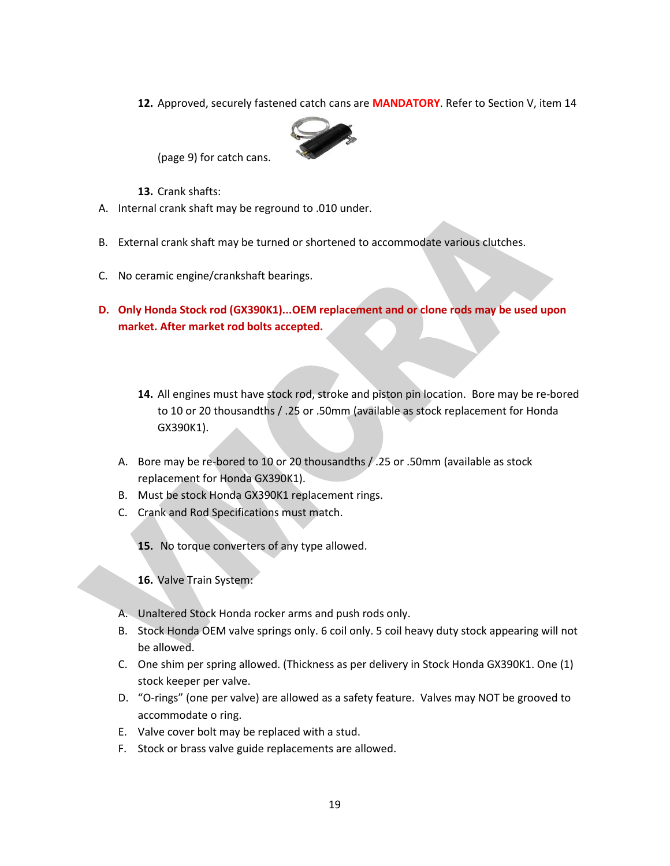**12.** Approved, securely fastened catch cans are **MANDATORY**. Refer to Section V, item 14



(page 9) for catch cans.

**13.** Crank shafts:

- A. Internal crank shaft may be reground to .010 under.
- B. External crank shaft may be turned or shortened to accommodate various clutches.
- C. No ceramic engine/crankshaft bearings.
- **D. Only Honda Stock rod (GX390K1)...OEM replacement and or clone rods may be used upon market. After market rod bolts accepted.**
	- **14.** All engines must have stock rod, stroke and piston pin location. Bore may be re-bored to 10 or 20 thousandths / .25 or .50mm (available as stock replacement for Honda GX390K1).
	- A. Bore may be re-bored to 10 or 20 thousandths / .25 or .50mm (available as stock replacement for Honda GX390K1).
	- B. Must be stock Honda GX390K1 replacement rings.
	- C. Crank and Rod Specifications must match.
		- **15.** No torque converters of any type allowed.

**16.** Valve Train System:

- A. Unaltered Stock Honda rocker arms and push rods only.
- B. Stock Honda OEM valve springs only. 6 coil only. 5 coil heavy duty stock appearing will not be allowed.
- C. One shim per spring allowed. (Thickness as per delivery in Stock Honda GX390K1. One (1) stock keeper per valve.
- D. "O-rings" (one per valve) are allowed as a safety feature. Valves may NOT be grooved to accommodate o ring.
- E. Valve cover bolt may be replaced with a stud.
- F. Stock or brass valve guide replacements are allowed.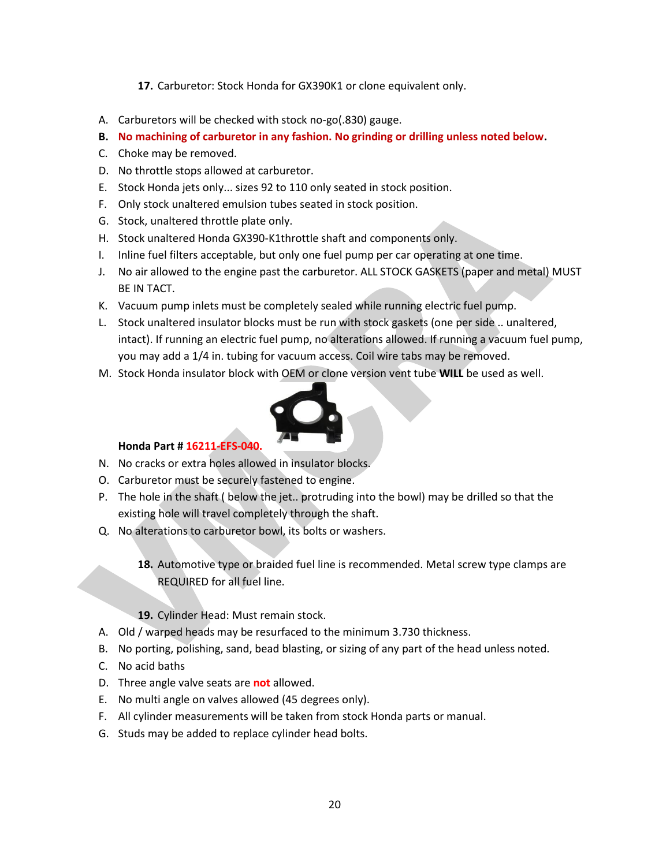- **17.** Carburetor: Stock Honda for GX390K1 or clone equivalent only.
- A. Carburetors will be checked with stock no-go(.830) gauge.
- **B. No machining of carburetor in any fashion. No grinding or drilling unless noted below.**
- C. Choke may be removed.
- D. No throttle stops allowed at carburetor.
- E. Stock Honda jets only... sizes 92 to 110 only seated in stock position.
- F. Only stock unaltered emulsion tubes seated in stock position.
- G. Stock, unaltered throttle plate only.
- H. Stock unaltered Honda GX390-K1throttle shaft and components only.
- I. Inline fuel filters acceptable, but only one fuel pump per car operating at one time.
- J. No air allowed to the engine past the carburetor. ALL STOCK GASKETS (paper and metal) MUST BE IN TACT.
- K. Vacuum pump inlets must be completely sealed while running electric fuel pump.
- L. Stock unaltered insulator blocks must be run with stock gaskets (one per side .. unaltered, intact). If running an electric fuel pump, no alterations allowed. If running a vacuum fuel pump, you may add a 1/4 in. tubing for vacuum access. Coil wire tabs may be removed.
- M. Stock Honda insulator block with OEM or clone version vent tube **WILL** be used as well.



# **Honda Part # 16211-EFS-040.**

- N. No cracks or extra holes allowed in insulator blocks.
- O. Carburetor must be securely fastened to engine.
- P. The hole in the shaft ( below the jet.. protruding into the bowl) may be drilled so that the existing hole will travel completely through the shaft.
- Q. No alterations to carburetor bowl, its bolts or washers.
	- **18.** Automotive type or braided fuel line is recommended. Metal screw type clamps are REQUIRED for all fuel line.
	- **19.** Cylinder Head: Must remain stock.
- A. Old / warped heads may be resurfaced to the minimum 3.730 thickness.
- B. No porting, polishing, sand, bead blasting, or sizing of any part of the head unless noted.
- C. No acid baths
- D. Three angle valve seats are **not** allowed.
- E. No multi angle on valves allowed (45 degrees only).
- F. All cylinder measurements will be taken from stock Honda parts or manual.
- G. Studs may be added to replace cylinder head bolts.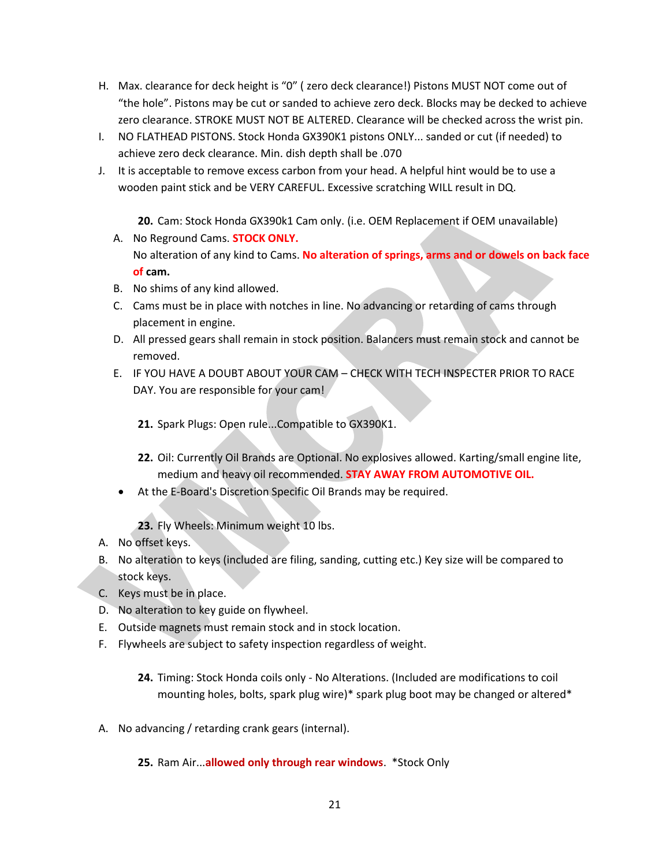- H. Max. clearance for deck height is "0" ( zero deck clearance!) Pistons MUST NOT come out of "the hole". Pistons may be cut or sanded to achieve zero deck. Blocks may be decked to achieve zero clearance. STROKE MUST NOT BE ALTERED. Clearance will be checked across the wrist pin.
- I. NO FLATHEAD PISTONS. Stock Honda GX390K1 pistons ONLY... sanded or cut (if needed) to achieve zero deck clearance. Min. dish depth shall be .070
- J. It is acceptable to remove excess carbon from your head. A helpful hint would be to use a wooden paint stick and be VERY CAREFUL. Excessive scratching WILL result in DQ.
	- **20.** Cam: Stock Honda GX390k1 Cam only. (i.e. OEM Replacement if OEM unavailable)
	- A. No Reground Cams. **STOCK ONLY.** No alteration of any kind to Cams. **No alteration of springs, arms and or dowels on back face of cam.**
	- B. No shims of any kind allowed.
	- C. Cams must be in place with notches in line. No advancing or retarding of cams through placement in engine.
	- D. All pressed gears shall remain in stock position. Balancers must remain stock and cannot be removed.
	- E. IF YOU HAVE A DOUBT ABOUT YOUR CAM CHECK WITH TECH INSPECTER PRIOR TO RACE DAY. You are responsible for your cam!
		- **21.** Spark Plugs: Open rule...Compatible to GX390K1.
		- **22.** Oil: Currently Oil Brands are Optional. No explosives allowed. Karting/small engine lite, medium and heavy oil recommended. **STAY AWAY FROM AUTOMOTIVE OIL.**
	- At the E-Board's Discretion Specific Oil Brands may be required.
		- **23.** Fly Wheels: Minimum weight 10 lbs.
- A. No offset keys.
- B. No alteration to keys (included are filing, sanding, cutting etc.) Key size will be compared to stock keys.
- C. Keys must be in place.
- D. No alteration to key guide on flywheel.
- E. Outside magnets must remain stock and in stock location.
- F. Flywheels are subject to safety inspection regardless of weight.
	- **24.** Timing: Stock Honda coils only No Alterations. (Included are modifications to coil mounting holes, bolts, spark plug wire)\* spark plug boot may be changed or altered\*
- A. No advancing / retarding crank gears (internal).
	- **25.** Ram Air...**allowed only through rear windows**. \*Stock Only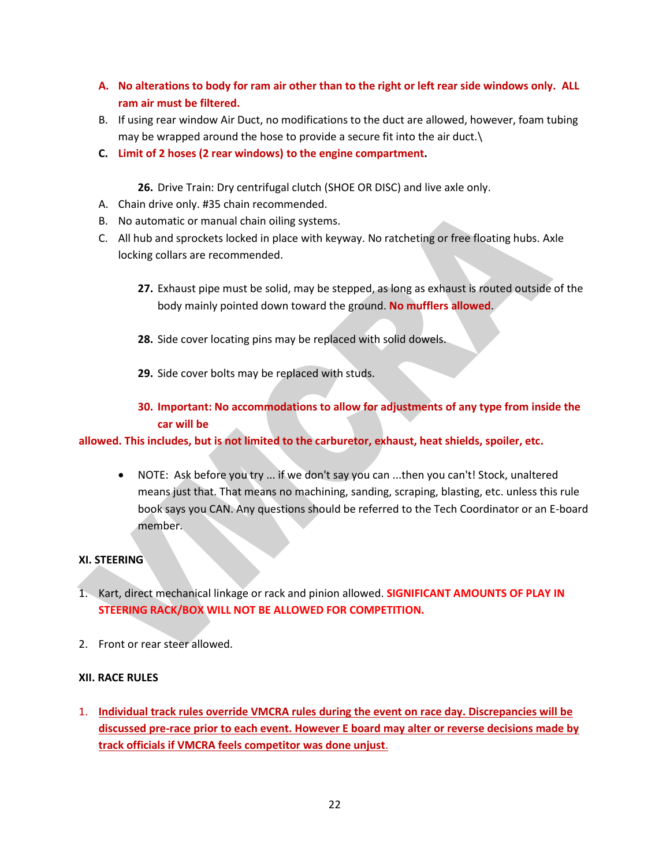- **A. No alterations to body for ram air other than to the right or left rear side windows only. ALL ram air must be filtered.**
- B. If using rear window Air Duct, no modifications to the duct are allowed, however, foam tubing may be wrapped around the hose to provide a secure fit into the air duct.\
- **C. Limit of 2 hoses (2 rear windows) to the engine compartment.**

**26.** Drive Train: Dry centrifugal clutch (SHOE OR DISC) and live axle only.

- A. Chain drive only. #35 chain recommended.
- B. No automatic or manual chain oiling systems.
- C. All hub and sprockets locked in place with keyway. No ratcheting or free floating hubs. Axle locking collars are recommended.
	- **27.** Exhaust pipe must be solid, may be stepped, as long as exhaust is routed outside of the body mainly pointed down toward the ground. **No mufflers allowed**.
	- **28.** Side cover locating pins may be replaced with solid dowels.
	- **29.** Side cover bolts may be replaced with studs.

# **30. Important: No accommodations to allow for adjustments of any type from inside the car will be**

**allowed. This includes, but is not limited to the carburetor, exhaust, heat shields, spoiler, etc.**

 NOTE: Ask before you try ... if we don't say you can ...then you can't! Stock, unaltered means just that. That means no machining, sanding, scraping, blasting, etc. unless this rule book says you CAN. Any questions should be referred to the Tech Coordinator or an E-board member.

# **XI. STEERING**

- 1. Kart, direct mechanical linkage or rack and pinion allowed. **SIGNIFICANT AMOUNTS OF PLAY IN STEERING RACK/BOX WILL NOT BE ALLOWED FOR COMPETITION.**
- 2. Front or rear steer allowed.

### **XII. RACE RULES**

1. **Individual track rules override VMCRA rules during the event on race day. Discrepancies will be discussed pre-race prior to each event. However E board may alter or reverse decisions made by track officials if VMCRA feels competitor was done unjust**.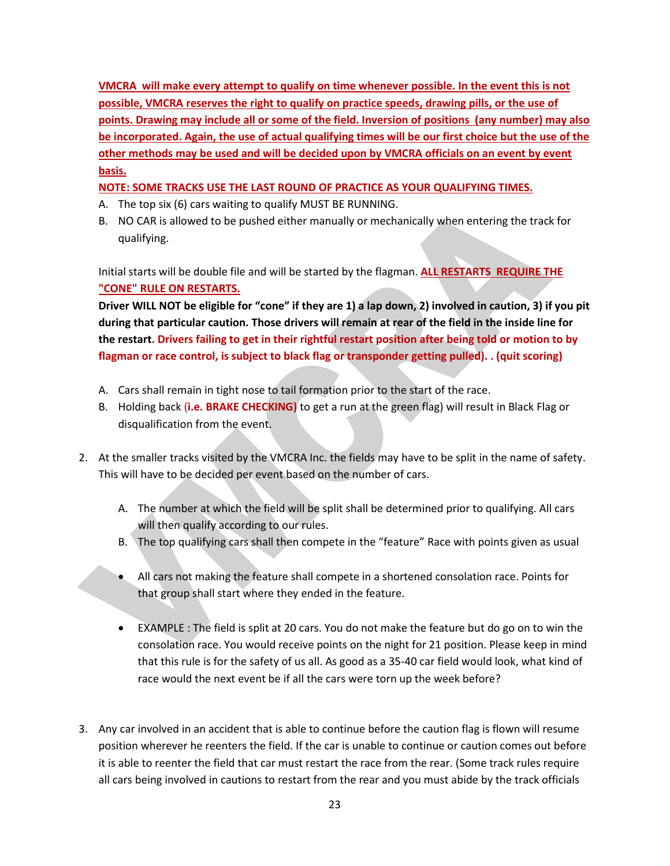**VMCRA will make every attempt to qualify on time whenever possible. In the event this is not possible, VMCRA reserves the right to qualify on practice speeds, drawing pills, or the use of points. Drawing may include all or some of the field. Inversion of positions (any number) may also be incorporated. Again, the use of actual qualifying times will be our first choice but the use of the other methods may be used and will be decided upon by VMCRA officials on an event by event basis.**

**NOTE: SOME TRACKS USE THE LAST ROUND OF PRACTICE AS YOUR QUALIFYING TIMES.**

- A. The top six (6) cars waiting to qualify MUST BE RUNNING.
- B. NO CAR is allowed to be pushed either manually or mechanically when entering the track for qualifying.

Initial starts will be double file and will be started by the flagman. **ALL RESTARTS REQUIRE THE "CONE" RULE ON RESTARTS.**

**Driver WILL NOT be eligible for "cone" if they are 1) a lap down, 2) involved in caution, 3) if you pit during that particular caution. Those drivers will remain at rear of the field in the inside line for the restart. Drivers failing to get in their rightful restart position after being told or motion to by flagman or race control, is subject to black flag or transponder getting pulled). . (quit scoring)**

- A. Cars shall remain in tight nose to tail formation prior to the start of the race.
- B. Holding back (**i.e. BRAKE CHECKING)** to get a run at the green flag) will result in Black Flag or disqualification from the event.
- 2. At the smaller tracks visited by the VMCRA Inc. the fields may have to be split in the name of safety. This will have to be decided per event based on the number of cars.
	- A. The number at which the field will be split shall be determined prior to qualifying. All cars will then qualify according to our rules.
	- B. The top qualifying cars shall then compete in the "feature" Race with points given as usual
	- All cars not making the feature shall compete in a shortened consolation race. Points for that group shall start where they ended in the feature.
	- EXAMPLE : The field is split at 20 cars. You do not make the feature but do go on to win the consolation race. You would receive points on the night for 21 position. Please keep in mind that this rule is for the safety of us all. As good as a 35-40 car field would look, what kind of race would the next event be if all the cars were torn up the week before?
- 3. Any car involved in an accident that is able to continue before the caution flag is flown will resume position wherever he reenters the field. If the car is unable to continue or caution comes out before it is able to reenter the field that car must restart the race from the rear. (Some track rules require all cars being involved in cautions to restart from the rear and you must abide by the track officials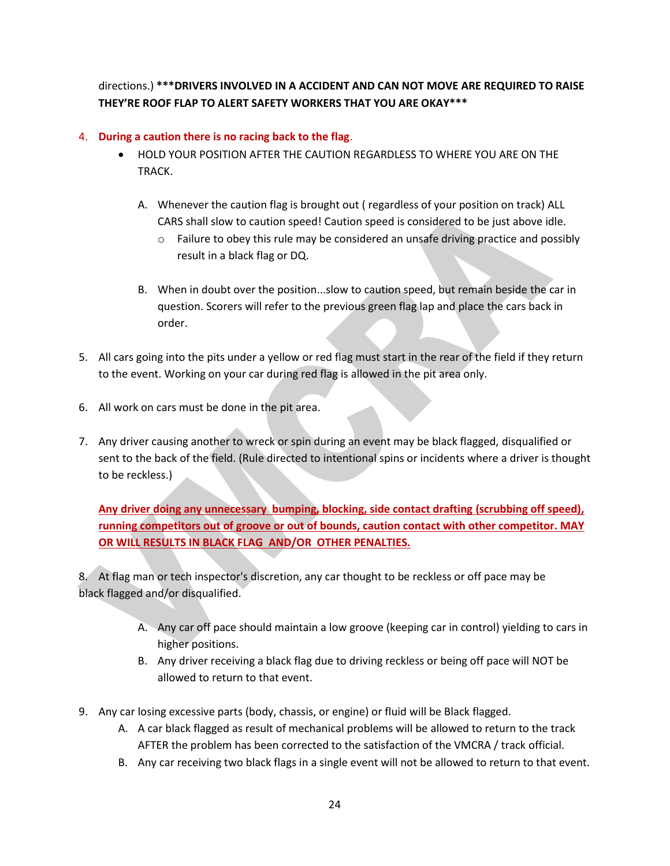directions.) **\*\*\*DRIVERS INVOLVED IN A ACCIDENT AND CAN NOT MOVE ARE REQUIRED TO RAISE THEY'RE ROOF FLAP TO ALERT SAFETY WORKERS THAT YOU ARE OKAY\*\*\***

# 4. **During a caution there is no racing back to the flag**.

- HOLD YOUR POSITION AFTER THE CAUTION REGARDLESS TO WHERE YOU ARE ON THE TRACK.
	- A. Whenever the caution flag is brought out ( regardless of your position on track) ALL CARS shall slow to caution speed! Caution speed is considered to be just above idle.
		- $\circ$  Failure to obey this rule may be considered an unsafe driving practice and possibly result in a black flag or DQ.
	- B. When in doubt over the position...slow to caution speed, but remain beside the car in question. Scorers will refer to the previous green flag lap and place the cars back in order.
- 5. All cars going into the pits under a yellow or red flag must start in the rear of the field if they return to the event. Working on your car during red flag is allowed in the pit area only.
- 6. All work on cars must be done in the pit area.
- 7. Any driver causing another to wreck or spin during an event may be black flagged, disqualified or sent to the back of the field. (Rule directed to intentional spins or incidents where a driver is thought to be reckless.)

**Any driver doing any unnecessary bumping, blocking, side contact drafting (scrubbing off speed), running competitors out of groove or out of bounds, caution contact with other competitor. MAY OR WILL RESULTS IN BLACK FLAG AND/OR OTHER PENALTIES.**

8. At flag man or tech inspector's discretion, any car thought to be reckless or off pace may be black flagged and/or disqualified.

- A. Any car off pace should maintain a low groove (keeping car in control) yielding to cars in higher positions.
- B. Any driver receiving a black flag due to driving reckless or being off pace will NOT be allowed to return to that event.
- 9. Any car losing excessive parts (body, chassis, or engine) or fluid will be Black flagged.
	- A. A car black flagged as result of mechanical problems will be allowed to return to the track AFTER the problem has been corrected to the satisfaction of the VMCRA / track official.
	- B. Any car receiving two black flags in a single event will not be allowed to return to that event.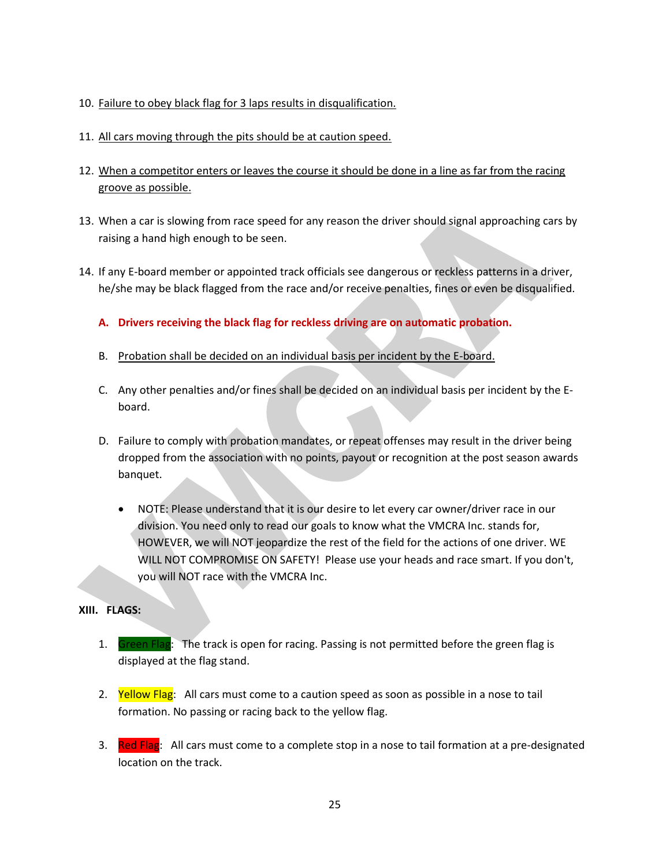- 10. Failure to obey black flag for 3 laps results in disqualification.
- 11. All cars moving through the pits should be at caution speed.
- 12. When a competitor enters or leaves the course it should be done in a line as far from the racing groove as possible.
- 13. When a car is slowing from race speed for any reason the driver should signal approaching cars by raising a hand high enough to be seen.
- 14. If any E-board member or appointed track officials see dangerous or reckless patterns in a driver, he/she may be black flagged from the race and/or receive penalties, fines or even be disqualified.
	- **A. Drivers receiving the black flag for reckless driving are on automatic probation.**
	- B. Probation shall be decided on an individual basis per incident by the E-board.
	- C. Any other penalties and/or fines shall be decided on an individual basis per incident by the Eboard.
	- D. Failure to comply with probation mandates, or repeat offenses may result in the driver being dropped from the association with no points, payout or recognition at the post season awards banquet.
		- NOTE: Please understand that it is our desire to let every car owner/driver race in our division. You need only to read our goals to know what the VMCRA Inc. stands for, HOWEVER, we will NOT jeopardize the rest of the field for the actions of one driver. WE WILL NOT COMPROMISE ON SAFETY! Please use your heads and race smart. If you don't, you will NOT race with the VMCRA Inc.

# **XIII. FLAGS:**

- 1. Green Flag: The track is open for racing. Passing is not permitted before the green flag is displayed at the flag stand.
- 2. Yellow Flag: All cars must come to a caution speed as soon as possible in a nose to tail formation. No passing or racing back to the yellow flag.
- 3. Red Flag: All cars must come to a complete stop in a nose to tail formation at a pre-designated location on the track.